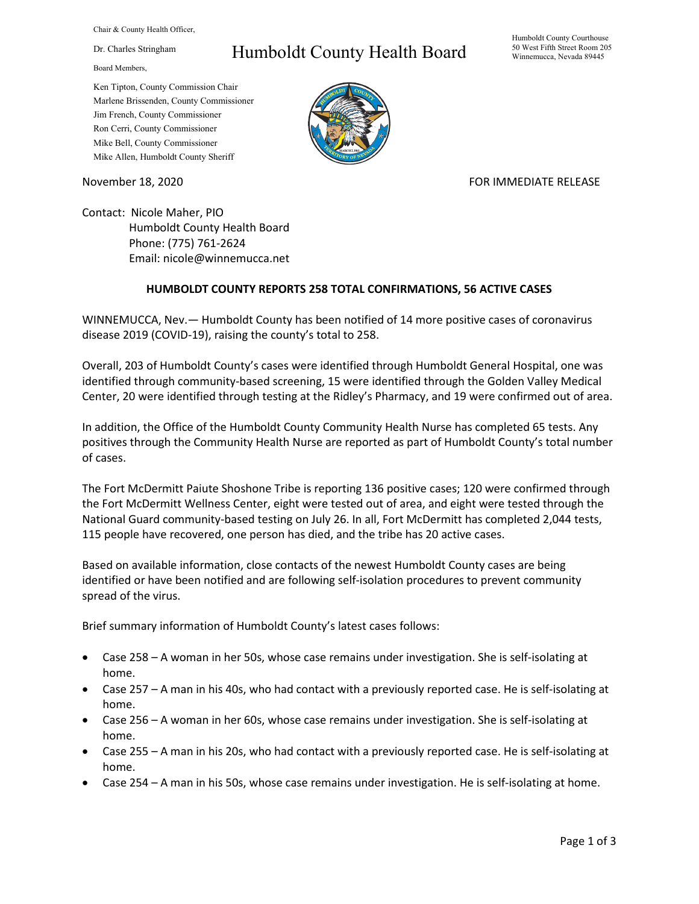Chair & County Health Officer,

Dr. Charles Stringham

Board Members,

## Humboldt County Health Board

Humboldt County Courthouse 50 West Fifth Street Room 205 Winnemucca, Nevada 89445

Ken Tipton, County Commission Chair Marlene Brissenden, County Commissioner Jim French, County Commissioner Ron Cerri, County Commissioner Mike Bell, County Commissioner Mike Allen, Humboldt County Sheriff

November 18, 2020 **FOR IMMEDIATE RELEASE** 

Contact: Nicole Maher, PIO Humboldt County Health Board Phone: (775) 761-2624 Email: nicole@winnemucca.net

## **HUMBOLDT COUNTY REPORTS 258 TOTAL CONFIRMATIONS, 56 ACTIVE CASES**

WINNEMUCCA, Nev.— Humboldt County has been notified of 14 more positive cases of coronavirus disease 2019 (COVID-19), raising the county's total to 258.

Overall, 203 of Humboldt County's cases were identified through Humboldt General Hospital, one was identified through community-based screening, 15 were identified through the Golden Valley Medical Center, 20 were identified through testing at the Ridley's Pharmacy, and 19 were confirmed out of area.

In addition, the Office of the Humboldt County Community Health Nurse has completed 65 tests. Any positives through the Community Health Nurse are reported as part of Humboldt County's total number of cases.

The Fort McDermitt Paiute Shoshone Tribe is reporting 136 positive cases; 120 were confirmed through the Fort McDermitt Wellness Center, eight were tested out of area, and eight were tested through the National Guard community-based testing on July 26. In all, Fort McDermitt has completed 2,044 tests, 115 people have recovered, one person has died, and the tribe has 20 active cases.

Based on available information, close contacts of the newest Humboldt County cases are being identified or have been notified and are following self-isolation procedures to prevent community spread of the virus.

Brief summary information of Humboldt County's latest cases follows:

- Case 258 A woman in her 50s, whose case remains under investigation. She is self-isolating at home.
- Case 257 A man in his 40s, who had contact with a previously reported case. He is self-isolating at home.
- Case 256 A woman in her 60s, whose case remains under investigation. She is self-isolating at home.
- Case 255 A man in his 20s, who had contact with a previously reported case. He is self-isolating at home.
- Case 254 A man in his 50s, whose case remains under investigation. He is self-isolating at home.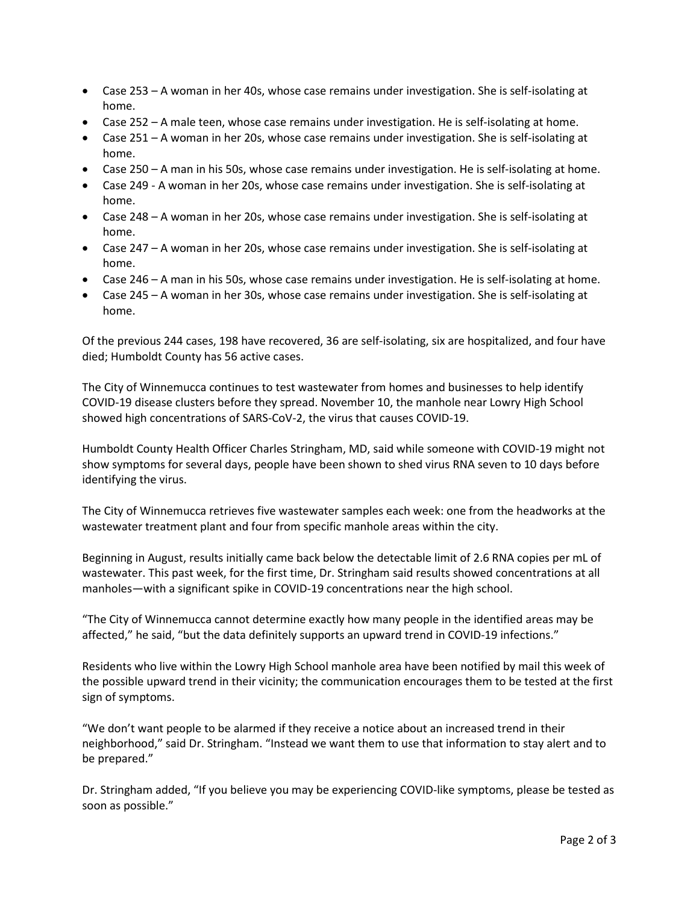- Case 253 A woman in her 40s, whose case remains under investigation. She is self-isolating at home.
- Case 252 A male teen, whose case remains under investigation. He is self-isolating at home.
- Case 251 A woman in her 20s, whose case remains under investigation. She is self-isolating at home.
- Case 250 A man in his 50s, whose case remains under investigation. He is self-isolating at home.
- Case 249 A woman in her 20s, whose case remains under investigation. She is self-isolating at home.
- Case 248 A woman in her 20s, whose case remains under investigation. She is self-isolating at home.
- Case 247 A woman in her 20s, whose case remains under investigation. She is self-isolating at home.
- Case 246 A man in his 50s, whose case remains under investigation. He is self-isolating at home.
- Case 245 A woman in her 30s, whose case remains under investigation. She is self-isolating at home.

Of the previous 244 cases, 198 have recovered, 36 are self-isolating, six are hospitalized, and four have died; Humboldt County has 56 active cases.

The City of Winnemucca continues to test wastewater from homes and businesses to help identify COVID-19 disease clusters before they spread. November 10, the manhole near Lowry High School showed high concentrations of SARS-CoV-2, the virus that causes COVID-19.

Humboldt County Health Officer Charles Stringham, MD, said while someone with COVID-19 might not show symptoms for several days, people have been shown to shed virus RNA seven to 10 days before identifying the virus.

The City of Winnemucca retrieves five wastewater samples each week: one from the headworks at the wastewater treatment plant and four from specific manhole areas within the city.

Beginning in August, results initially came back below the detectable limit of 2.6 RNA copies per mL of wastewater. This past week, for the first time, Dr. Stringham said results showed concentrations at all manholes—with a significant spike in COVID-19 concentrations near the high school.

"The City of Winnemucca cannot determine exactly how many people in the identified areas may be affected," he said, "but the data definitely supports an upward trend in COVID-19 infections."

Residents who live within the Lowry High School manhole area have been notified by mail this week of the possible upward trend in their vicinity; the communication encourages them to be tested at the first sign of symptoms.

"We don't want people to be alarmed if they receive a notice about an increased trend in their neighborhood," said Dr. Stringham. "Instead we want them to use that information to stay alert and to be prepared."

Dr. Stringham added, "If you believe you may be experiencing COVID-like symptoms, please be tested as soon as possible."